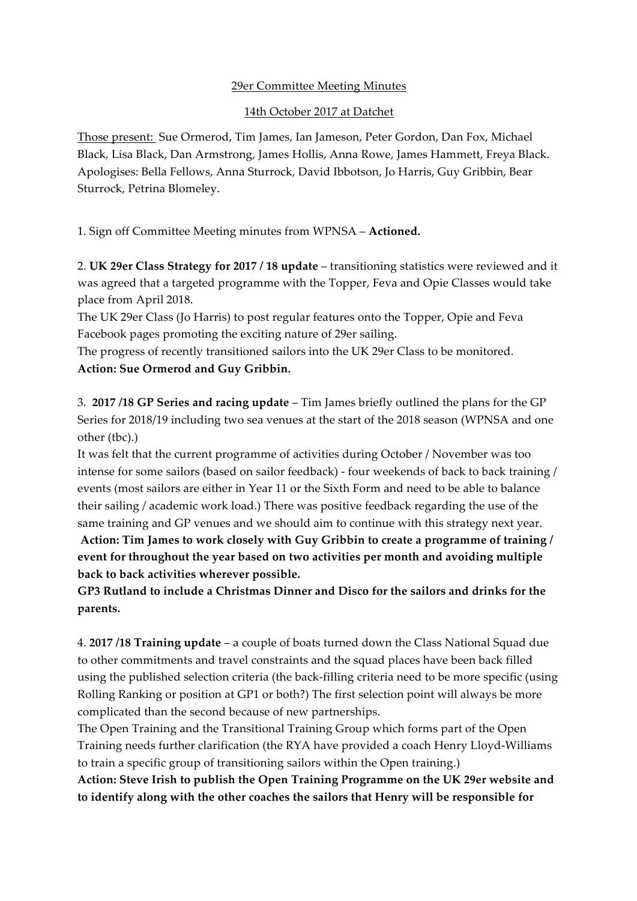## 29er Committee Meeting Minutes

## 14th October 2017 at Datchet

Those present: Sue Ormerod, Tim James, Ian Jameson, Peter Gordon, Dan Fox, Michael Black, Lisa Black, Dan Armstrong, James Hollis, Anna Rowe, James Hammett, Freya Black. Apologises: Bella Fellows, Anna Sturrock, David Ibbotson, Jo Harris, Guy Gribbin, Bear Sturrock, Petrina Blomeley.

1. Sign off Committee Meeting minutes from WPNSA – **Actioned.**

2. **UK 29er Class Strategy for 2017 / 18 update** – transitioning statistics were reviewed and it was agreed that a targeted programme with the Topper, Feva and Opie Classes would take place from April 2018.

The UK 29er Class (Jo Harris) to post regular features onto the Topper, Opie and Feva Facebook pages promoting the exciting nature of 29er sailing.

The progress of recently transitioned sailors into the UK 29er Class to be monitored. **Action: Sue Ormerod and Guy Gribbin.**

3. **2017 /18 GP Series and racing update** – Tim James briefly outlined the plans for the GP Series for 2018/19 including two sea venues at the start of the 2018 season (WPNSA and one other (tbc).)

It was felt that the current programme of activities during October / November was too intense for some sailors (based on sailor feedback) - four weekends of back to back training / events (most sailors are either in Year 11 or the Sixth Form and need to be able to balance their sailing / academic work load.) There was positive feedback regarding the use of the same training and GP venues and we should aim to continue with this strategy next year.

**Action: Tim James to work closely with Guy Gribbin to create a programme of training / event for throughout the year based on two activities per month and avoiding multiple back to back activities wherever possible.**

**GP3 Rutland to include a Christmas Dinner and Disco for the sailors and drinks for the parents.**

4. **2017 /18 Training update** – a couple of boats turned down the Class National Squad due to other commitments and travel constraints and the squad places have been back filled using the published selection criteria (the back-filling criteria need to be more specific (using Rolling Ranking or position at GP1 or both?) The first selection point will always be more complicated than the second because of new partnerships.

The Open Training and the Transitional Training Group which forms part of the Open Training needs further clarification (the RYA have provided a coach Henry Lloyd-Williams to train a specific group of transitioning sailors within the Open training.)

**Action: Steve Irish to publish the Open Training Programme on the UK 29er website and to identify along with the other coaches the sailors that Henry will be responsible for**